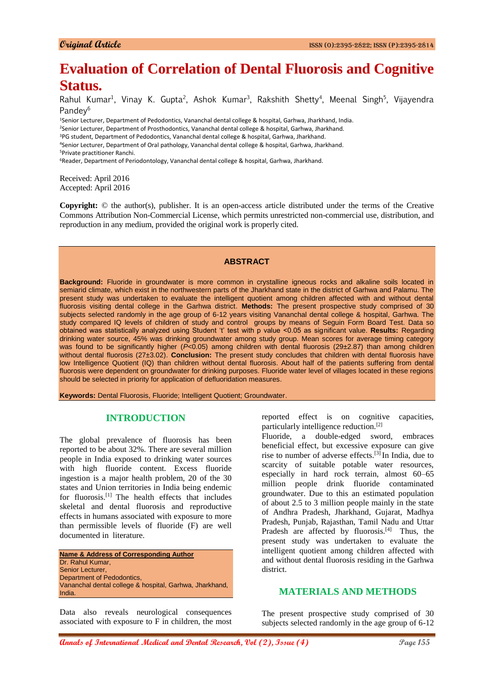# **Evaluation of Correlation of Dental Fluorosis and Cognitive Status.**

Rahul Kumar<sup>1</sup>, Vinay K. Gupta<sup>2</sup>, Ashok Kumar<sup>3</sup>, Rakshith Shetty<sup>4</sup>, Meenal Singh<sup>5</sup>, Vijayendra Pandey<sup>6</sup>

<sup>1</sup>Senior Lecturer, Department of Pedodontics, Vananchal dental college & hospital, Garhwa, Jharkhand, India.

<sup>2</sup>Senior Lecturer, Department of Prosthodontics, Vananchal dental college & hospital, Garhwa, Jharkhand.

<sup>3</sup>PG student, Department of Pedodontics, Vananchal dental college & hospital, Garhwa, Jharkhand.

<sup>4</sup>Senior Lecturer, Department of Oral pathology, Vananchal dental college & hospital, Garhwa, Jharkhand. <sup>5</sup>Private practitioner Ranchi.

<sup>6</sup>Reader, Department of Periodontology, Vananchal dental college & hospital, Garhwa, Jharkhand.

Received: April 2016 Accepted: April 2016

**Copyright:** © the author(s), publisher. It is an open-access article distributed under the terms of the Creative Commons Attribution Non-Commercial License, which permits unrestricted non-commercial use, distribution, and reproduction in any medium, provided the original work is properly cited.

#### **ABSTRACT**

**Background:** Fluoride in groundwater is more common in crystalline igneous rocks and alkaline soils located in semiarid climate, which exist in the northwestern parts of the Jharkhand state in the district of Garhwa and Palamu. The present study was undertaken to evaluate the intelligent quotient among children affected with and without dental fluorosis visiting dental college in the Garhwa district. **Methods:** The present prospective study comprised of 30 subjects selected randomly in the age group of 6-12 years visiting Vananchal dental college & hospital, Garhwa. The study compared IQ levels of children of study and control groups by means of Seguin Form Board Test. Data so obtained was statistically analyzed using Student 't' test with p value <0.05 as significant value. **Results:** Regarding drinking water source, 45% was drinking groundwater among study group. Mean scores for average timing category was found to be significantly higher ( $P<0.05$ ) among children with dental fluorosis (29±2.87) than among children without dental fluorosis (27±3.02). **Conclusion:** The present study concludes that children with dental fluorosis have low Intelligence Quotient (IQ) than children without dental fluorosis. About half of the patients suffering from dental fluorosis were dependent on groundwater for drinking purposes. Fluoride water level of villages located in these regions should be selected in priority for application of defluoridation measures.

**Keywords:** Dental Fluorosis, Fluoride; Intelligent Quotient; Groundwater.

## **INTRODUCTION**

The global prevalence of fluorosis has been reported to be about 32%. There are several million people in India exposed to drinking water sources with high fluoride content. Excess fluoride ingestion is a major health problem, 20 of the 30 states and Union territories in India being endemic for fluorosis.[1] The health effects that includes skeletal and dental fluorosis and reproductive effects in humans associated with exposure to more than permissible levels of fluoride (F) are well documented in literature.

**Name & Address of Corresponding Author** Dr. Rahul Kumar, Senior Lecturer, Department of Pedodontics, Vananchal dental college & hospital, Garhwa, Jharkhand, India.

Data also reveals neurological consequences associated with exposure to F in children, the most reported effect is on cognitive capacities, particularly intelligence reduction.[2]

Fluoride, a double-edged sword, embraces beneficial effect, but excessive exposure can give rise to number of adverse effects.[3] In India, due to scarcity of suitable potable water resources, especially in hard rock terrain, almost 60–65 million people drink fluoride contaminated groundwater. Due to this an estimated population of about 2.5 to 3 million people mainly in the state of Andhra Pradesh, Jharkhand, Gujarat, Madhya Pradesh, Punjab, Rajasthan, Tamil Nadu and Uttar Pradesh are affected by fluorosis.<sup>[4]</sup> Thus, the present study was undertaken to evaluate the intelligent quotient among children affected with and without dental fluorosis residing in the Garhwa district.

# **MATERIALS AND METHODS**

The present prospective study comprised of 30 subjects selected randomly in the age group of 6-12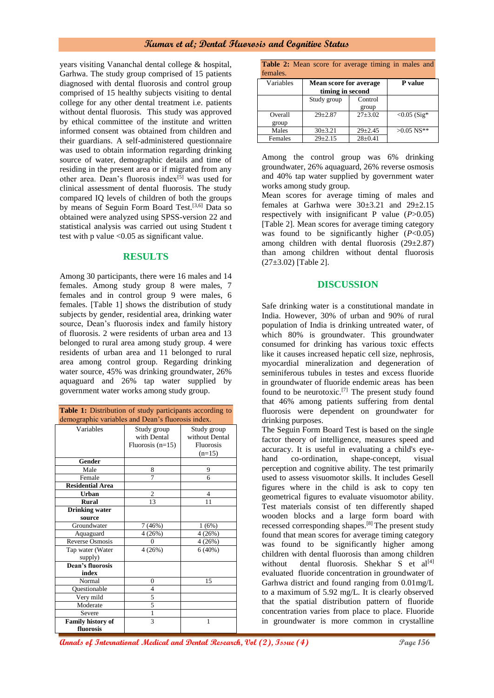## **Kumar et al; Dental Fluorosis and Cognitive Status**

years visiting Vananchal dental college & hospital, Garhwa. The study group comprised of 15 patients diagnosed with dental fluorosis and control group comprised of 15 healthy subjects visiting to dental college for any other dental treatment i.e. patients without dental fluorosis. This study was approved by ethical committee of the institute and written informed consent was obtained from children and their guardians. A self-administered questionnaire was used to obtain information regarding drinking source of water, demographic details and time of residing in the present area or if migrated from any other area. Dean's fluorosis index<sup>[5]</sup> was used for clinical assessment of dental fluorosis. The study compared IQ levels of children of both the groups by means of Seguin Form Board Test.<sup>[3,6]</sup> Data so obtained were analyzed using SPSS-version 22 and statistical analysis was carried out using Student t test with p value <0.05 as significant value.

## **RESULTS**

Among 30 participants, there were 16 males and 14 females. Among study group 8 were males, 7 females and in control group 9 were males, 6 females. [Table 1] shows the distribution of study subjects by gender, residential area, drinking water source, Dean's fluorosis index and family history of fluorosis. 2 were residents of urban area and 13 belonged to rural area among study group. 4 were residents of urban area and 11 belonged to rural area among control group. Regarding drinking water source, 45% was drinking groundwater, 26% aquaguard and 26% tap water supplied by government water works among study group.

| <b>Table 1:</b> Distribution of study participants according to |  |
|-----------------------------------------------------------------|--|
| demographic variables and Dean's fluorosis index.               |  |

| Variables                | Study group        | Study group      |
|--------------------------|--------------------|------------------|
|                          | with Dental        | without Dental   |
|                          | Fluorosis $(n=15)$ | <b>Fluorosis</b> |
|                          |                    | $(n=15)$         |
| Gender                   |                    |                  |
| Male                     | 8                  | 9                |
| Female                   | 7                  | 6                |
| <b>Residential Area</b>  |                    |                  |
| Urban                    | $\overline{2}$     | 4                |
| <b>Rural</b>             | 13                 | 11               |
| <b>Drinking</b> water    |                    |                  |
| source                   |                    |                  |
| Groundwater              | (46%)<br>7         | 1(6%)            |
| Aquaguard                | 4(26%)             | 4(26%)           |
| <b>Reverse Osmosis</b>   | 0                  | 4(26%)           |
| Tap water (Water         | 4(26%)             | 6(40%)           |
| supply)                  |                    |                  |
| <b>Dean's fluorosis</b>  |                    |                  |
| index                    |                    |                  |
| Normal                   | $\overline{0}$     | 15               |
| Ouestionable             | 4                  |                  |
| Very mild                | 5                  |                  |
| Moderate                 | 5                  |                  |
| Severe                   | 1                  |                  |
| <b>Family history of</b> | 3                  | 1                |
| fluorosis                |                    |                  |

| <b>Table 2:</b> Mean score for average timing in males and |  |  |  |  |
|------------------------------------------------------------|--|--|--|--|
| females.                                                   |  |  |  |  |

| тентател. |                                                   |               |                |
|-----------|---------------------------------------------------|---------------|----------------|
| Variables | <b>Mean score for average</b><br>timing in second | P value       |                |
|           | Study group                                       | Control       |                |
|           |                                                   | group         |                |
| Overall   | $29 \pm 2.87$                                     | $27 + 3.02$   | $< 0.05$ (Sig* |
| group     |                                                   |               |                |
| Males     | 30±3.21                                           | $29 \pm 2.45$ | $>0.05$ NS**   |
| Females   | $29 \pm 2.15$                                     | $28 \pm 0.41$ |                |

Among the control group was 6% drinking groundwater, 26% aquaguard, 26% reverse osmosis and 40% tap water supplied by government water works among study group.

Mean scores for average timing of males and females at Garhwa were  $30\pm3.21$  and  $29\pm2.15$ respectively with insignificant P value (*P*>0.05) [Table 2]. Mean scores for average timing category was found to be significantly higher  $(P<0.05)$ among children with dental fluorosis  $(29\pm2.87)$ than among children without dental fluorosis  $(27\pm3.02)$  [Table 2].

#### **DISCUSSION**

Safe drinking water is a constitutional mandate in India. However, 30% of urban and 90% of rural population of India is drinking untreated water, of which 80% is groundwater. This groundwater consumed for drinking has various toxic effects like it causes increased hepatic cell size, nephrosis, myocardial mineralization and degeneration of seminiferous tubules in testes and excess fluoride in groundwater of fluoride endemic areas has been found to be neurotoxic.[7] The present study found that 46% among patients suffering from dental fluorosis were dependent on groundwater for drinking purposes.

The Seguin Form Board Test is based on the single factor theory of intelligence, measures speed and accuracy. It is useful in evaluating a child's eyehand co-ordination, shape-concept, visual perception and cognitive ability. The test primarily used to assess visuomotor skills. It includes Gesell figures where in the child is ask to copy ten geometrical figures to evaluate visuomotor ability. Test materials consist of ten differently shaped wooden blocks and a large form board with recessed corresponding shapes.[8] The present study found that mean scores for average timing category was found to be significantly higher among children with dental fluorosis than among children without dental fluorosis. Shekhar S et al<sup>[4]</sup> evaluated fluoride concentration in groundwater of Garhwa district and found ranging from 0.01mg/L to a maximum of 5.92 mg/L. It is clearly observed that the spatial distribution pattern of fluoride concentration varies from place to place. Fluoride in groundwater is more common in crystalline